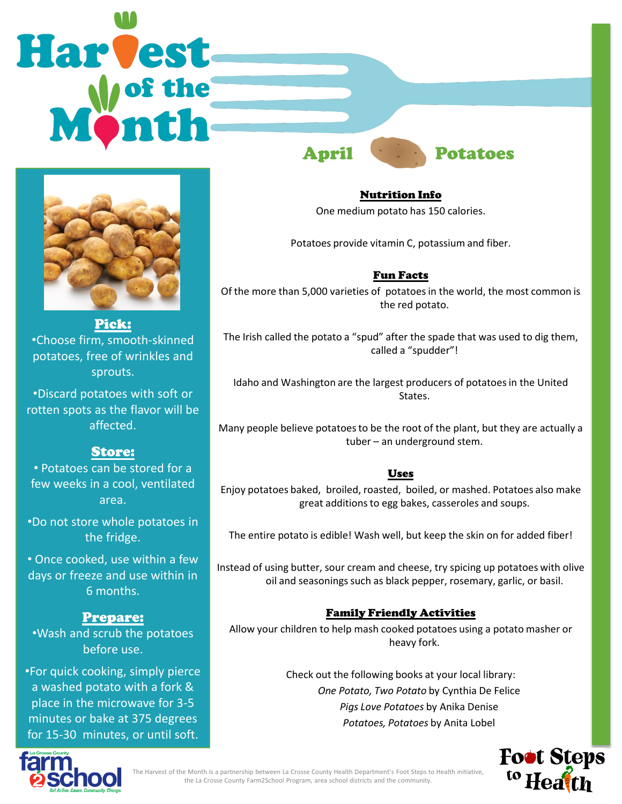



Pick: •Choose firm, smooth-skinned potatoes, free of wrinkles and sprouts.

•Discard potatoes with soft or rotten spots as the flavor will be affected.

# Store:

• Potatoes can be stored for a few weeks in a cool, ventilated area.

•Do not store whole potatoes in the fridge.

• Once cooked, use within a few days or freeze and use within in 6 months.

## Prepare:

•Wash and scrub the potatoes before use.

•For quick cooking, simply pierce a washed potato with a fork & place in the microwave for 3-5 minutes or bake at 375 degrees for 15-30 minutes, or until soft.

April Potatoes

Nutrition Info One medium potato has 150 calories.

Potatoes provide vitamin C, potassium and fiber.

## Fun Facts

Of the more than 5,000 varieties of potatoes in the world, the most common is the red potato.

The Irish called the potato a "spud" after the spade that was used to dig them, called a "spudder"!

Idaho and Washington are the largest producers of potatoes in the United States.

Many people believe potatoes to be the root of the plant, but they are actually a tuber – an underground stem.

### Uses

Enjoy potatoes baked, broiled, roasted, boiled, or mashed. Potatoes also make great additions to egg bakes, casseroles and soups.

The entire potato is edible! Wash well, but keep the skin on for added fiber!

Instead of using butter, sour cream and cheese, try spicing up potatoes with olive oil and seasonings such as black pepper, rosemary, garlic, or basil.

### Family Friendly Activities

Allow your children to help mash cooked potatoes using a potato masher or heavy fork.

> Check out the following books at your local library: *One Potato, Two Potato* by Cynthia De Felice *Pigs Love Potatoes* by Anika Denise *Potatoes, Potatoes* by Anita Lobel